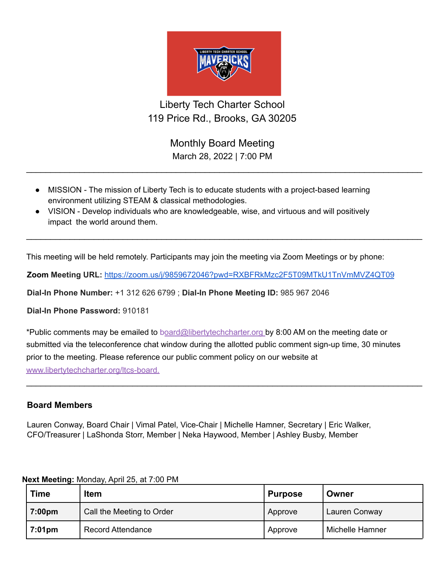

Liberty Tech Charter School 119 Price Rd., Brooks, GA 30205

> Monthly Board Meeting March 28, 2022 | 7:00 PM

 $\_$ 

 $\_$ 

- MISSION The mission of Liberty Tech is to educate students with a project-based learning environment utilizing STEAM & classical methodologies.
- VISION Develop individuals who are knowledgeable, wise, and virtuous and will positively impact the world around them.

This meeting will be held remotely. Participants may join the meeting via Zoom Meetings or by phone:

**Zoom Meeting URL:** <https://zoom.us/j/9859672046?pwd=RXBFRkMzc2F5T09MTkU1TnVmMVZ4QT09>

**Dial-In Phone Number:** +1 312 626 6799 ; **Dial-In Phone Meeting ID:** 985 967 2046

**Dial-In Phone Password:** 910181

\*Public comments may be emailed to board@libertytechcharter.org by 8:00 AM on the meeting date or submitted via the teleconference chat window during the allotted public comment sign-up time, 30 minutes prior to the meeting. Please reference our public comment policy on our website at www.libertytechcharter.org/ltcs-board.

 $\_$ 

## **Board Members**

Lauren Conway, Board Chair | Vimal Patel, Vice-Chair | Michelle Hamner, Secretary | Eric Walker, CFO/Treasurer | LaShonda Storr, Member | Neka Haywood, Member | Ashley Busby, Member

| <b>Time</b>        | <b>Item</b>               | Purpose | Owner           |
|--------------------|---------------------------|---------|-----------------|
| 7:00 <sub>pm</sub> | Call the Meeting to Order | Approve | Lauren Conway   |
| 7:01pm             | <b>Record Attendance</b>  | Approve | Michelle Hamner |

## **Next Meeting:** Monday, April 25, at 7:00 PM